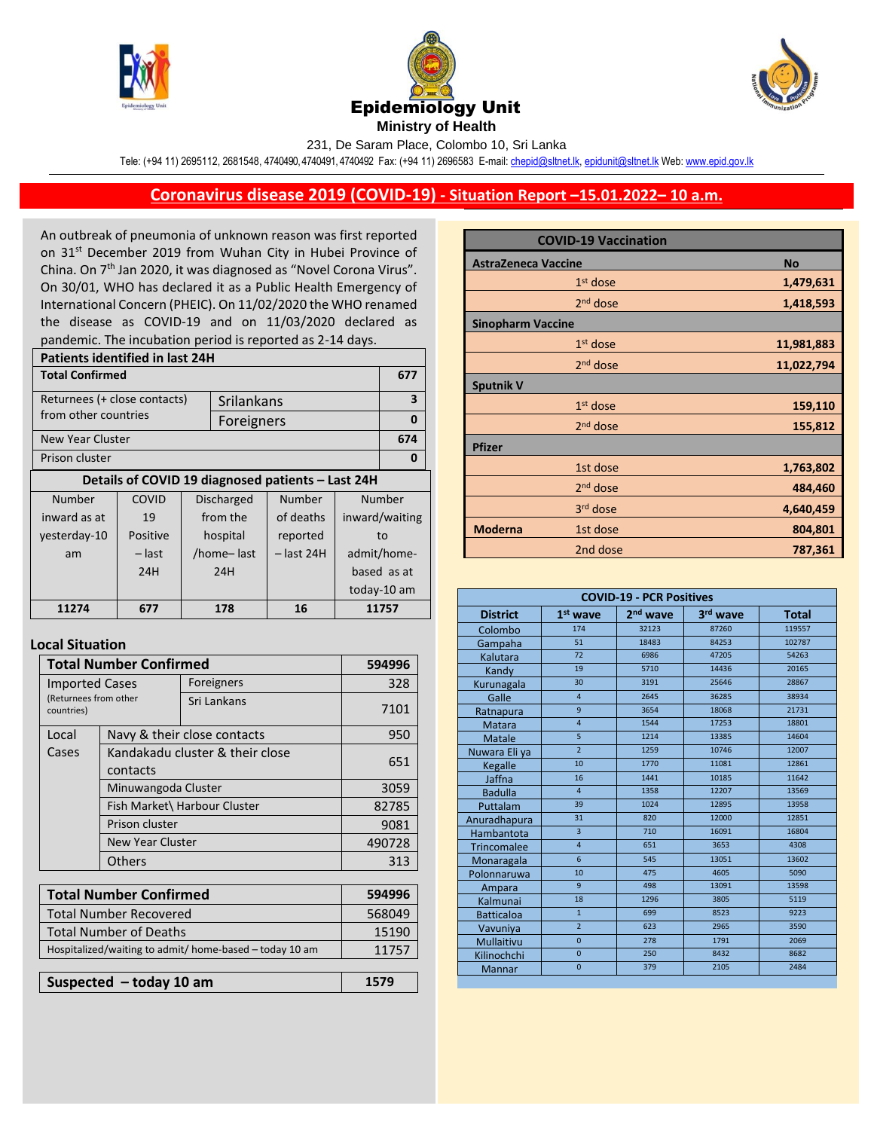





231, De Saram Place, Colombo 10, Sri Lanka

Tele: (+94 11) 2695112, 2681548, 4740490, 4740491, 4740492 Fax: (+94 11) 2696583 E-mail[: chepid@sltnet.lk,](mailto:chepi@sltnet.lk) [epidunit@sltnet.lk](mailto:epidunit@sltnet.lk) Web[: www.epid.gov.lk](http://www.epid.gov.lk/)

## **Coronavirus disease 2019 (COVID-19) - Situation Report –15.01.2022– 10 a.m.**

An outbreak of pneumonia of unknown reason was first reported on 31<sup>st</sup> December 2019 from Wuhan City in Hubei Province of China. On 7<sup>th</sup> Jan 2020, it was diagnosed as "Novel Corona Virus". On 30/01, WHO has declared it as a Public Health Emergency of International Concern (PHEIC). On 11/02/2020 the WHO renamed the disease as COVID-19 and on 11/03/2020 declared as pandemic. The incubation period is reported as 2-14 days.

| <b>Patients identified in last 24H</b>            |                           |  |                   |              |                |   |  |
|---------------------------------------------------|---------------------------|--|-------------------|--------------|----------------|---|--|
| <b>Total Confirmed</b>                            |                           |  |                   |              | 677            |   |  |
| Returnees (+ close contacts)<br>Srilankans        |                           |  |                   | 3            |                |   |  |
| from other countries                              |                           |  | Foreigners        |              |                | 0 |  |
| New Year Cluster                                  |                           |  |                   |              | 674            |   |  |
| Prison cluster                                    |                           |  |                   | 0            |                |   |  |
| Details of COVID 19 diagnosed patients - Last 24H |                           |  |                   |              |                |   |  |
| Number                                            | COVID                     |  | <b>Discharged</b> | Number       | Number         |   |  |
| inward as at                                      | 19                        |  | from the          | of deaths    | inward/waiting |   |  |
| yesterday-10                                      | Positive                  |  | hospital          | reported     | to             |   |  |
| am                                                | – last                    |  | /home-last        | $-$ last 24H | admit/home-    |   |  |
|                                                   | 24H<br>24H<br>based as at |  |                   |              |                |   |  |
|                                                   |                           |  |                   |              | today-10 am    |   |  |
| 11274                                             | 677                       |  | 178               | 16           | 11757          |   |  |
|                                                   |                           |  |                   |              |                |   |  |

## **Local Situation**

| <b>Total Number Confirmed</b>                           |                                             |                              | 594996 |
|---------------------------------------------------------|---------------------------------------------|------------------------------|--------|
| <b>Imported Cases</b>                                   |                                             | Foreigners                   | 328    |
| (Returnees from other<br>countries)                     |                                             | Sri Lankans                  | 7101   |
| Local                                                   |                                             | Navy & their close contacts  | 950    |
| Cases                                                   | Kandakadu cluster & their close<br>contacts |                              | 651    |
|                                                         | Minuwangoda Cluster                         |                              | 3059   |
|                                                         |                                             | Fish Market\ Harbour Cluster | 82785  |
| Prison cluster                                          |                                             |                              | 9081   |
| New Year Cluster                                        |                                             |                              | 490728 |
|                                                         | Others                                      |                              | 313    |
|                                                         |                                             |                              |        |
|                                                         | <b>Total Number Confirmed</b>               |                              | 594996 |
| <b>Total Number Recovered</b>                           |                                             |                              | 568049 |
| <b>Total Number of Deaths</b>                           |                                             |                              | 15190  |
| Hospitalized/waiting to admit/ home-based - today 10 am |                                             |                              | 11757  |

| Suspected - today 10 am | 1579 |
|-------------------------|------|
|                         |      |

|                            | <b>COVID-19 Vaccination</b> |            |
|----------------------------|-----------------------------|------------|
| <b>AstraZeneca Vaccine</b> |                             | <b>No</b>  |
|                            | $1st$ dose                  | 1,479,631  |
|                            | $2nd$ dose                  | 1,418,593  |
| <b>Sinopharm Vaccine</b>   |                             |            |
|                            | $1st$ dose                  | 11,981,883 |
|                            | $2nd$ dose                  | 11,022,794 |
| <b>Sputnik V</b>           |                             |            |
|                            | $1st$ dose                  | 159,110    |
|                            | $2nd$ dose                  | 155,812    |
| <b>Pfizer</b>              |                             |            |
|                            | 1st dose                    | 1,763,802  |
|                            | 2 <sup>nd</sup> dose        | 484,460    |
|                            | $3rd$ dose                  | 4,640,459  |
| <b>Moderna</b>             | 1st dose                    | 804,801    |
|                            | 2nd dose                    | 787,361    |

| <b>COVID-19 - PCR Positives</b> |                                                                          |       |       |        |  |  |
|---------------------------------|--------------------------------------------------------------------------|-------|-------|--------|--|--|
| <b>District</b>                 | 2 <sup>nd</sup> wave<br>1 <sup>st</sup> wave<br>3rd wave<br><b>Total</b> |       |       |        |  |  |
| Colombo                         | 174                                                                      | 32123 | 87260 | 119557 |  |  |
| Gampaha                         | 51                                                                       | 18483 | 84253 | 102787 |  |  |
| Kalutara                        | 72                                                                       | 6986  | 47205 | 54263  |  |  |
| Kandy                           | 19                                                                       | 5710  | 14436 | 20165  |  |  |
| Kurunagala                      | 30                                                                       | 3191  | 25646 | 28867  |  |  |
| Galle                           | $\overline{4}$                                                           | 2645  | 36285 | 38934  |  |  |
| Ratnapura                       | 9                                                                        | 3654  | 18068 | 21731  |  |  |
| Matara                          | $\overline{4}$                                                           | 1544  | 17253 | 18801  |  |  |
| Matale                          | 5                                                                        | 1214  | 13385 | 14604  |  |  |
| Nuwara Eli ya                   | $\overline{2}$                                                           | 1259  | 10746 | 12007  |  |  |
| Kegalle                         | 10                                                                       | 1770  | 11081 | 12861  |  |  |
| Jaffna                          | 16                                                                       | 1441  | 10185 | 11642  |  |  |
| <b>Badulla</b>                  | $\overline{4}$                                                           | 1358  | 12207 | 13569  |  |  |
| Puttalam                        | 39                                                                       | 1024  | 12895 | 13958  |  |  |
| Anuradhapura                    | 31                                                                       | 820   | 12000 | 12851  |  |  |
| Hambantota                      | $\overline{3}$                                                           | 710   | 16091 | 16804  |  |  |
| <b>Trincomalee</b>              | $\overline{4}$                                                           | 651   | 3653  | 4308   |  |  |
| Monaragala                      | 6                                                                        | 545   | 13051 | 13602  |  |  |
| Polonnaruwa                     | 10                                                                       | 475   | 4605  | 5090   |  |  |
| Ampara                          | 9                                                                        | 498   | 13091 | 13598  |  |  |
| Kalmunai                        | 18                                                                       | 1296  | 3805  | 5119   |  |  |
| <b>Batticaloa</b>               | $\mathbf{1}$                                                             | 699   | 8523  | 9223   |  |  |
| Vavuniya                        | $\overline{2}$                                                           | 623   | 2965  | 3590   |  |  |
| Mullaitivu                      | $\overline{0}$                                                           | 278   | 1791  | 2069   |  |  |
| Kilinochchi                     | $\mathbf{0}$                                                             | 250   | 8432  | 8682   |  |  |
| Mannar                          | $\overline{0}$                                                           | 379   | 2105  | 2484   |  |  |